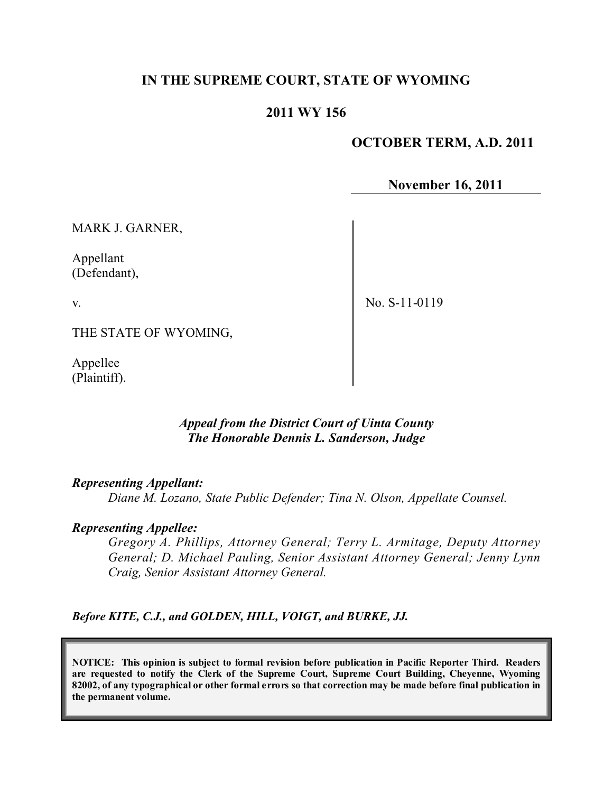# **IN THE SUPREME COURT, STATE OF WYOMING**

# **2011 WY 156**

## **OCTOBER TERM, A.D. 2011**

**November 16, 2011**

MARK J. GARNER,

Appellant (Defendant),

v.

No. S-11-0119

THE STATE OF WYOMING,

Appellee (Plaintiff).

### *Appeal from the District Court of Uinta County The Honorable Dennis L. Sanderson, Judge*

#### *Representing Appellant:*

*Diane M. Lozano, State Public Defender; Tina N. Olson, Appellate Counsel.* 

#### *Representing Appellee:*

*Gregory A. Phillips, Attorney General; Terry L. Armitage, Deputy Attorney General; D. Michael Pauling, Senior Assistant Attorney General; Jenny Lynn Craig, Senior Assistant Attorney General.* 

*Before KITE, C.J., and GOLDEN, HILL, VOIGT, and BURKE, JJ.*

**NOTICE: This opinion is subject to formal revision before publication in Pacific Reporter Third. Readers are requested to notify the Clerk of the Supreme Court, Supreme Court Building, Cheyenne, Wyoming** 82002, of any typographical or other formal errors so that correction may be made before final publication in **the permanent volume.**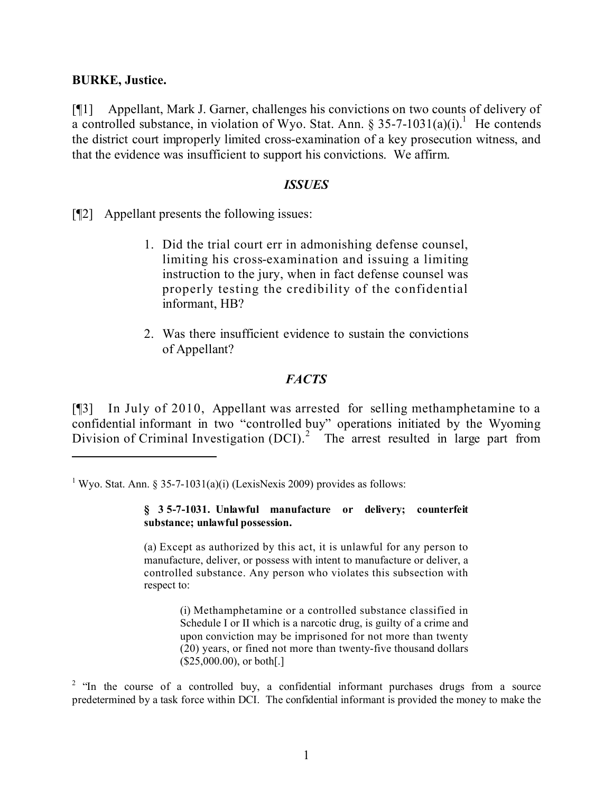## **BURKE, Justice.**

[¶1] Appellant, Mark J. Garner, challenges his convictions on two counts of delivery of a controlled substance, in violation of Wyo. Stat. Ann. § 35-7-1031(a)(i).<sup>1</sup> He contends the district court improperly limited cross-examination of a key prosecution witness, and that the evidence was insufficient to support his convictions. We affirm.

### *ISSUES*

[¶2] Appellant presents the following issues:

- 1. Did the trial court err in admonishing defense counsel, limiting his cross-examination and issuing a limiting instruction to the jury, when in fact defense counsel was properly testing the credibility of the confidential informant, HB?
- 2. Was there insufficient evidence to sustain the convictions of Appellant?

# *FACTS*

[¶3] In July of 2010, Appellant was arrested for selling methamphetamine to a confidential informant in two "controlled buy" operations initiated by the Wyoming Division of Criminal Investigation  $(DCI)$ <sup>2</sup>. The arrest resulted in large part from

#### **§ 35-7-1031. Unlawful manufacture or delivery; counterfeit substance; unlawful possession.**

(a) Except as authorized by this act, it is unlawful for any person to manufacture, deliver, or possess with intent to manufacture or deliver, a controlled substance. Any person who violates this subsection with respect to:

> (i) Methamphetamine or a controlled substance classified in Schedule I or II which is a narcotic drug, is guilty of a crime and upon conviction may be imprisoned for not more than twenty (20) years, or fined not more than twenty-five thousand dollars  $($25,000.00)$ , or both[.]

 $2$  "In the course of a controlled buy, a confidential informant purchases drugs from a source predetermined by a task force within DCI. The confidential informant is provided the money to make the

<sup>&</sup>lt;sup>1</sup> Wyo. Stat. Ann. § 35-7-1031(a)(i) (LexisNexis 2009) provides as follows: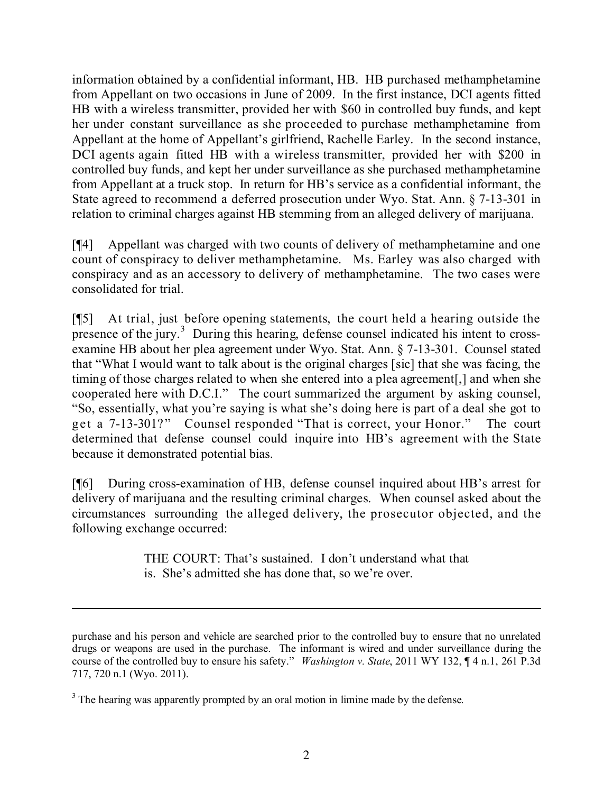information obtained by a confidential informant, HB. HB purchased methamphetamine from Appellant on two occasions in June of 2009. In the first instance, DCI agents fitted HB with a wireless transmitter, provided her with \$60 in controlled buy funds, and kept her under constant surveillance as she proceeded to purchase methamphetamine from Appellant at the home of Appellant's girlfriend, Rachelle Earley. In the second instance, DCI agents again fitted HB with a wireless transmitter, provided her with \$200 in controlled buy funds, and kept her under surveillance as she purchased methamphetamine from Appellant at a truck stop. In return for HB's service as a confidential informant, the State agreed to recommend a deferred prosecution under Wyo. Stat. Ann. § 7-13-301 in relation to criminal charges against HB stemming from an alleged delivery of marijuana.

[¶4] Appellant was charged with two counts of delivery of methamphetamine and one count of conspiracy to deliver methamphetamine. Ms. Earley was also charged with conspiracy and as an accessory to delivery of methamphetamine. The two cases were consolidated for trial.

[¶5] At trial, just before opening statements, the court held a hearing outside the presence of the jury.<sup>3</sup> During this hearing, defense counsel indicated his intent to crossexamine HB about her plea agreement under Wyo. Stat. Ann. § 7-13-301. Counsel stated that "What I would want to talk about is the original charges [sic] that she was facing, the timing of those charges related to when she entered into a plea agreement[,] and when she cooperated here with D.C.I." The court summarized the argument by asking counsel, "So, essentially, what you're saying is what she's doing here is part of a deal she got to get a 7-13-301?" Counsel responded "That is correct, your Honor." The court determined that defense counsel could inquire into HB's agreement with the State because it demonstrated potential bias.

[¶6] During cross-examination of HB, defense counsel inquired about HB's arrest for delivery of marijuana and the resulting criminal charges. When counsel asked about the circumstances surrounding the alleged delivery, the prosecutor objected, and the following exchange occurred:

> THE COURT: That's sustained. I don't understand what that is. She's admitted she has done that, so we're over.

> > l

purchase and his person and vehicle are searched prior to the controlled buy to ensure that no unrelated drugs or weapons are used in the purchase. The informant is wired and under surveillance during the course of the controlled buy to ensure his safety." *Washington v. State*, 2011 WY 132, ¶ 4 n.1, 261 P.3d 717, 720 n.1 (Wyo. 2011).

<sup>&</sup>lt;sup>3</sup> The hearing was apparently prompted by an oral motion in limine made by the defense.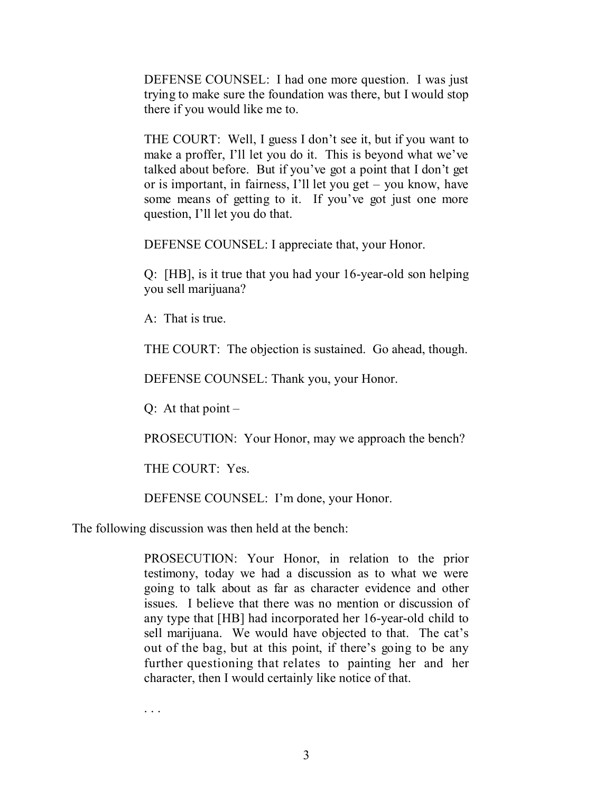DEFENSE COUNSEL: I had one more question. I was just trying to make sure the foundation was there, but I would stop there if you would like me to.

THE COURT: Well, I guess I don't see it, but if you want to make a proffer, I'll let you do it. This is beyond what we've talked about before. But if you've got a point that I don't get or is important, in fairness, I'll let you get – you know, have some means of getting to it. If you've got just one more question, I'll let you do that.

DEFENSE COUNSEL: I appreciate that, your Honor.

Q: [HB], is it true that you had your 16-year-old son helping you sell marijuana?

A: That is true.

THE COURT: The objection is sustained. Go ahead, though.

DEFENSE COUNSEL: Thank you, your Honor.

 $Q:$  At that point  $-$ 

PROSECUTION: Your Honor, may we approach the bench?

THE COURT: Yes.

DEFENSE COUNSEL: I'm done, your Honor.

The following discussion was then held at the bench:

PROSECUTION: Your Honor, in relation to the prior testimony, today we had a discussion as to what we were going to talk about as far as character evidence and other issues. I believe that there was no mention or discussion of any type that [HB] had incorporated her 16-year-old child to sell marijuana. We would have objected to that. The cat's out of the bag, but at this point, if there's going to be any further questioning that relates to painting her and her character, then I would certainly like notice of that.

. . .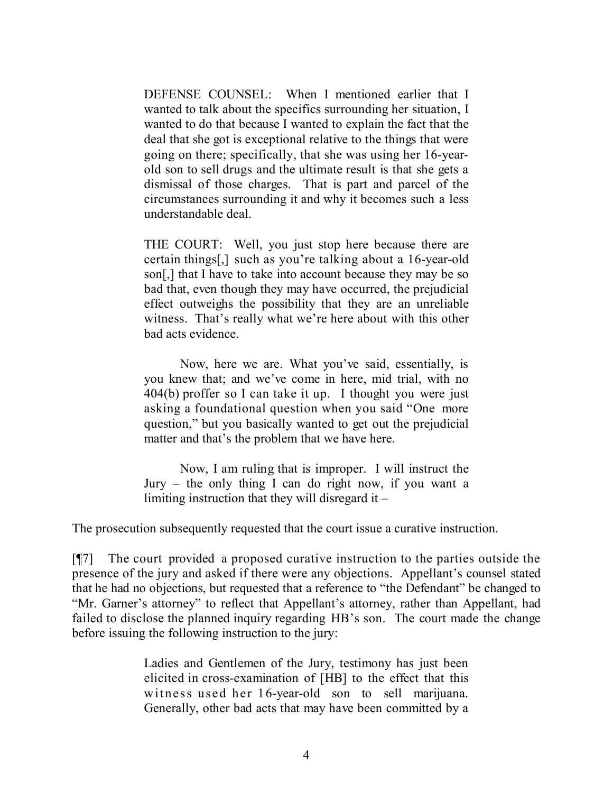DEFENSE COUNSEL: When I mentioned earlier that I wanted to talk about the specifics surrounding her situation, I wanted to do that because I wanted to explain the fact that the deal that she got is exceptional relative to the things that were going on there; specifically, that she was using her 16-yearold son to sell drugs and the ultimate result is that she gets a dismissal of those charges. That is part and parcel of the circumstances surrounding it and why it becomes such a less understandable deal.

THE COURT: Well, you just stop here because there are certain things[,] such as you're talking about a 16-year-old son[,] that I have to take into account because they may be so bad that, even though they may have occurred, the prejudicial effect outweighs the possibility that they are an unreliable witness. That's really what we're here about with this other bad acts evidence.

Now, here we are. What you've said, essentially, is you knew that; and we've come in here, mid trial, with no 404(b) proffer so I can take it up. I thought you were just asking a foundational question when you said "One more question," but you basically wanted to get out the prejudicial matter and that's the problem that we have here.

Now, I am ruling that is improper. I will instruct the Jury – the only thing I can do right now, if you want a limiting instruction that they will disregard it –

The prosecution subsequently requested that the court issue a curative instruction.

[¶7] The court provided a proposed curative instruction to the parties outside the presence of the jury and asked if there were any objections. Appellant's counsel stated that he had no objections, but requested that a reference to "the Defendant" be changed to "Mr. Garner's attorney" to reflect that Appellant's attorney, rather than Appellant, had failed to disclose the planned inquiry regarding HB's son. The court made the change before issuing the following instruction to the jury:

> Ladies and Gentlemen of the Jury, testimony has just been elicited in cross-examination of [HB] to the effect that this witness used her 16-year-old son to sell marijuana. Generally, other bad acts that may have been committed by a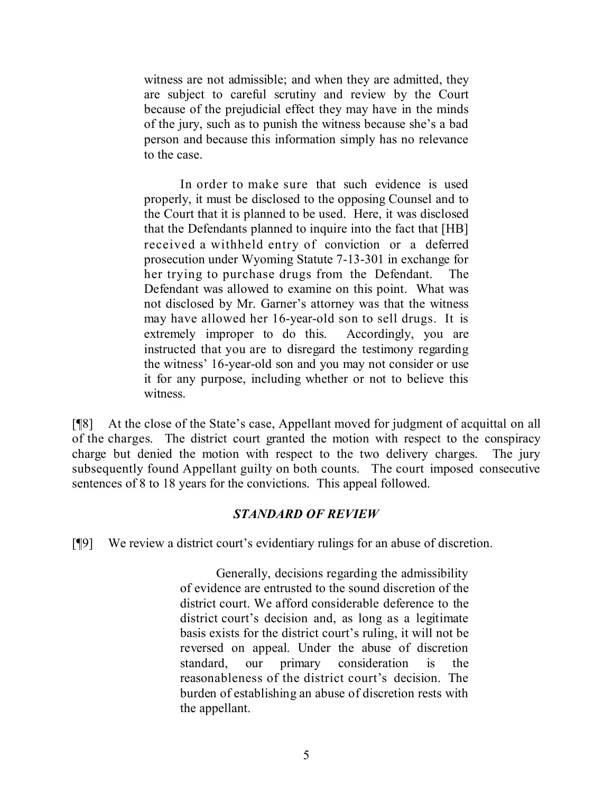witness are not admissible; and when they are admitted, they are subject to careful scrutiny and review by the Court because of the prejudicial effect they may have in the minds of the jury, such as to punish the witness because she's a bad person and because this information simply has no relevance to the case.

In order to make sure that such evidence is used properly, it must be disclosed to the opposing Counsel and to the Court that it is planned to be used. Here, it was disclosed that the Defendants planned to inquire into the fact that [HB] received a withheld entry of conviction or a deferred prosecution under Wyoming Statute 7-13-301 in exchange for her trying to purchase drugs from the Defendant. The Defendant was allowed to examine on this point. What was not disclosed by Mr. Garner's attorney was that the witness may have allowed her 16-year-old son to sell drugs. It is extremely improper to do this. Accordingly, you are instructed that you are to disregard the testimony regarding the witness' 16-year-old son and you may not consider or use it for any purpose, including whether or not to believe this witness.

[¶8] At the close of the State's case, Appellant moved for judgment of acquittal on all of the charges. The district court granted the motion with respect to the conspiracy charge but denied the motion with respect to the two delivery charges. The jury subsequently found Appellant guilty on both counts. The court imposed consecutive sentences of 8 to 18 years for the convictions. This appeal followed.

# *STANDARD OF REVIEW*

[¶9] We review a district court's evidentiary rulings for an abuse of discretion.

Generally, decisions regarding the admissibility of evidence are entrusted to the sound discretion of the district court. We afford considerable deference to the district court's decision and, as long as a legitimate basis exists for the district court's ruling, it will not be reversed on appeal. Under the abuse of discretion standard, our primary consideration is the reasonableness of the district court's decision. The burden of establishing an abuse of discretion rests with the appellant.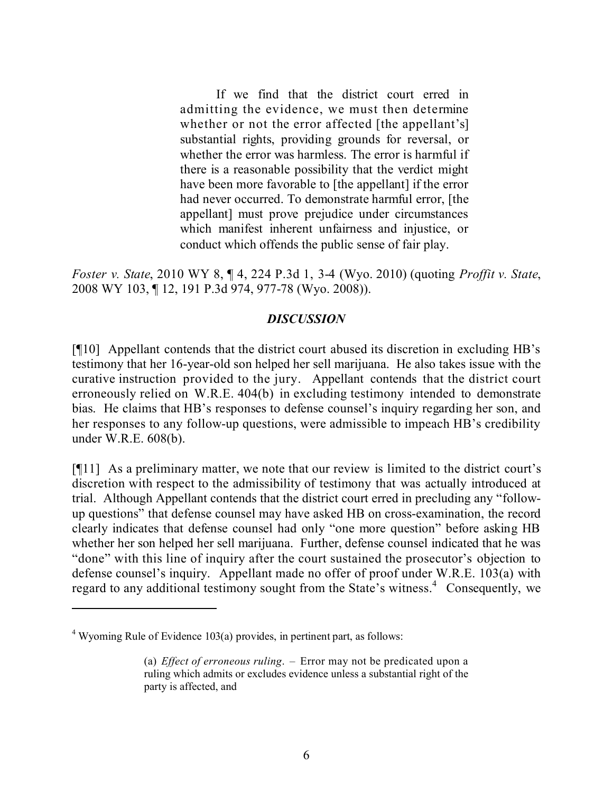If we find that the district court erred in admitting the evidence, we must then determine whether or not the error affected [the appellant's] substantial rights, providing grounds for reversal, or whether the error was harmless. The error is harmful if there is a reasonable possibility that the verdict might have been more favorable to [the appellant] if the error had never occurred. To demonstrate harmful error, [the appellant] must prove prejudice under circumstances which manifest inherent unfairness and injustice, or conduct which offends the public sense of fair play.

*Foster v. State*, 2010 WY 8, ¶ 4, 224 P.3d 1, 3-4 (Wyo. 2010) (quoting *Proffit v. State*, 2008 WY 103, ¶ 12, 191 P.3d 974, 977-78 (Wyo. 2008)).

## *DISCUSSION*

[¶10] Appellant contends that the district court abused its discretion in excluding HB's testimony that her 16-year-old son helped her sell marijuana. He also takes issue with the curative instruction provided to the jury. Appellant contends that the district court erroneously relied on W.R.E. 404(b) in excluding testimony intended to demonstrate bias. He claims that HB's responses to defense counsel's inquiry regarding her son, and her responses to any follow-up questions, were admissible to impeach HB's credibility under W.R.E. 608(b).

[¶11] As a preliminary matter, we note that our review is limited to the district court's discretion with respect to the admissibility of testimony that was actually introduced at trial. Although Appellant contends that the district court erred in precluding any "followup questions" that defense counsel may have asked HB on cross-examination, the record clearly indicates that defense counsel had only "one more question" before asking HB whether her son helped her sell marijuana. Further, defense counsel indicated that he was "done" with this line of inquiry after the court sustained the prosecutor's objection to defense counsel's inquiry. Appellant made no offer of proof under W.R.E. 103(a) with regard to any additional testimony sought from the State's witness.<sup>4</sup> Consequently, we

 $4$  Wyoming Rule of Evidence 103(a) provides, in pertinent part, as follows:

<sup>(</sup>a) *Effect of erroneous ruling*. – Error may not be predicated upon a ruling which admits or excludes evidence unless a substantial right of the party is affected, and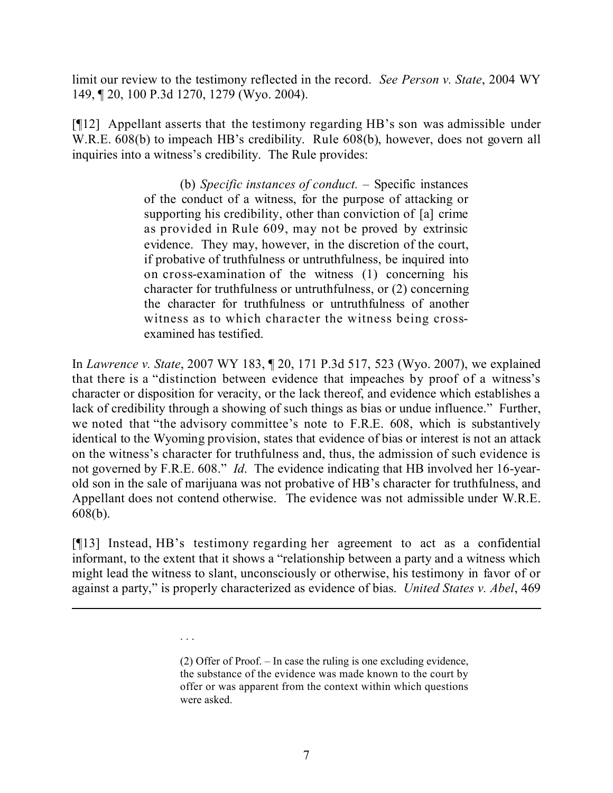limit our review to the testimony reflected in the record. *See Person v. State*, 2004 WY 149, ¶ 20, 100 P.3d 1270, 1279 (Wyo. 2004).

[¶12] Appellant asserts that the testimony regarding HB's son was admissible under W.R.E. 608(b) to impeach HB's credibility. Rule 608(b), however, does not govern all inquiries into a witness's credibility. The Rule provides:

> (b) *Specific instances of conduct.* – Specific instances of the conduct of a witness, for the purpose of attacking or supporting his credibility, other than conviction of [a] crime as provided in Rule 609, may not be proved by extrinsic evidence. They may, however, in the discretion of the court, if probative of truthfulness or untruthfulness, be inquired into on cross-examination of the witness (1) concerning his character for truthfulness or untruthfulness, or (2) concerning the character for truthfulness or untruthfulness of another witness as to which character the witness being crossexamined has testified.

In *Lawrence v. State*, 2007 WY 183, ¶ 20, 171 P.3d 517, 523 (Wyo. 2007), we explained that there is a "distinction between evidence that impeaches by proof of a witness's character or disposition for veracity, or the lack thereof, and evidence which establishes a lack of credibility through a showing of such things as bias or undue influence." Further, we noted that "the advisory committee's note to F.R.E. 608, which is substantively identical to the Wyoming provision, states that evidence of bias or interest is not an attack on the witness's character for truthfulness and, thus, the admission of such evidence is not governed by F.R.E. 608."*Id*. The evidence indicating that HB involved her 16-yearold son in the sale of marijuana was not probative of HB's character for truthfulness, and Appellant does not contend otherwise. The evidence was not admissible under W.R.E. 608(b).

[¶13] Instead, HB's testimony regarding her agreement to act as a confidential informant, to the extent that it shows a "relationship between a party and a witness which might lead the witness to slant, unconsciously or otherwise, his testimony in favor of or against a party," is properly characterized as evidence of bias. *United States v. Abel*, 469

. . .

l

<sup>(2)</sup> Offer of Proof. – In case the ruling is one excluding evidence, the substance of the evidence was made known to the court by offer or was apparent from the context within which questions were asked.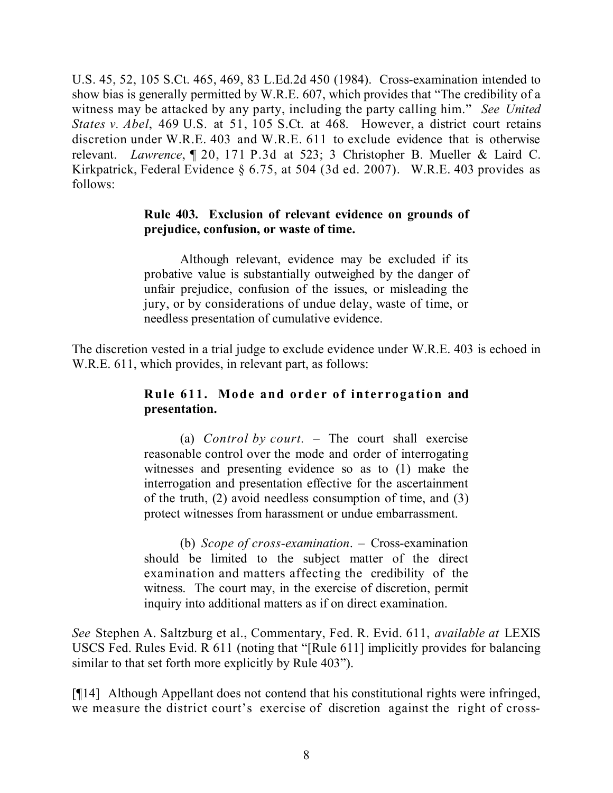U.S. 45, 52, 105 S.Ct. 465, 469, 83 L.Ed.2d 450 (1984). Cross-examination intended to show bias is generally permitted by W.R.E. 607, which provides that "The credibility of a witness may be attacked by any party, including the party calling him." *See United States v. Abel*, 469 U.S. at 51, 105 S.Ct. at 468. However, a district court retains discretion under W.R.E. 403 and W.R.E. 611 to exclude evidence that is otherwise relevant. *Lawrence*, ¶ 20, 171 P.3d at 523; 3 Christopher B. Mueller & Laird C. Kirkpatrick, Federal Evidence § 6.75, at 504 (3d ed. 2007). W.R.E. 403 provides as follows:

## **Rule 403. Exclusion of relevant evidence on grounds of prejudice, confusion, or waste of time.**

Although relevant, evidence may be excluded if its probative value is substantially outweighed by the danger of unfair prejudice, confusion of the issues, or misleading the jury, or by considerations of undue delay, waste of time, or needless presentation of cumulative evidence.

The discretion vested in a trial judge to exclude evidence under W.R.E. 403 is echoed in W.R.E. 611, which provides, in relevant part, as follows:

# **Rule 611. Mode and order of interrogation and presentation.**

(a) *Control by court.* – The court shall exercise reasonable control over the mode and order of interrogating witnesses and presenting evidence so as to (1) make the interrogation and presentation effective for the ascertainment of the truth, (2) avoid needless consumption of time, and (3) protect witnesses from harassment or undue embarrassment.

(b) *Scope of cross-examination*. – Cross-examination should be limited to the subject matter of the direct examination and matters affecting the credibility of the witness. The court may, in the exercise of discretion, permit inquiry into additional matters as if on direct examination.

*See* Stephen A. Saltzburg et al., Commentary, Fed. R. Evid. 611, *available at* LEXIS USCS Fed. Rules Evid. R 611 (noting that "[Rule 611] implicitly provides for balancing similar to that set forth more explicitly by Rule 403").

[¶14] Although Appellant does not contend that his constitutional rights were infringed, we measure the district court's exercise of discretion against the right of cross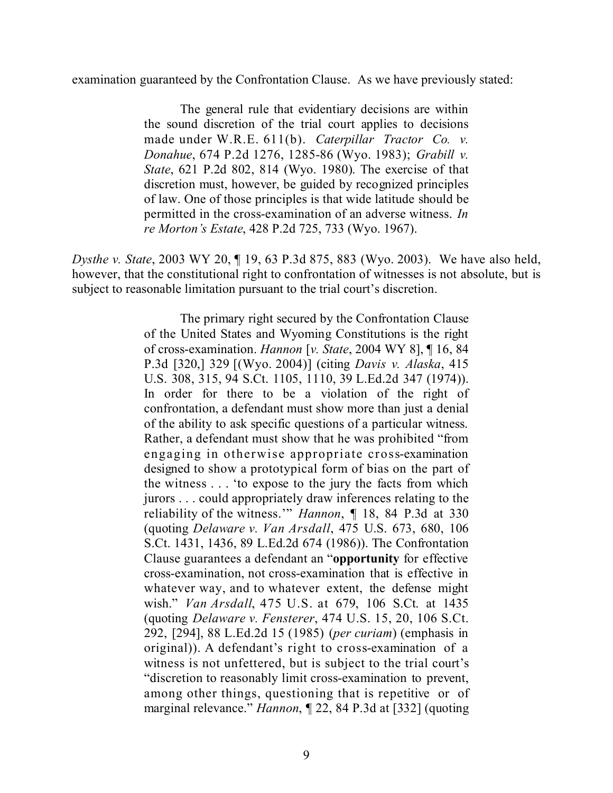examination guaranteed by the Confrontation Clause. As we have previously stated:

The general rule that evidentiary decisions are within the sound discretion of the trial court applies to decisions made under W.R.E. 611(b). *Caterpillar Tractor Co. v. Donahue*, 674 P.2d 1276, 1285-86 (Wyo. 1983); *Grabill v. State*, 621 P.2d 802, 814 (Wyo. 1980). The exercise of that discretion must, however, be guided by recognized principles of law. One of those principles is that wide latitude should be permitted in the cross-examination of an adverse witness. *In re Morton's Estate*, 428 P.2d 725, 733 (Wyo. 1967).

*Dysthe v. State*, 2003 WY 20, ¶ 19, 63 P.3d 875, 883 (Wyo. 2003). We have also held, however, that the constitutional right to confrontation of witnesses is not absolute, but is subject to reasonable limitation pursuant to the trial court's discretion.

> The primary right secured by the Confrontation Clause of the United States and Wyoming Constitutions is the right of cross-examination. *Hannon* [*v. State*, 2004 WY 8], ¶ 16, 84 P.3d [320,] 329 [(Wyo. 2004)] (citing *Davis v. Alaska*, 415 U.S. 308, 315, 94 S.Ct. 1105, 1110, 39 L.Ed.2d 347 (1974)). In order for there to be a violation of the right of confrontation, a defendant must show more than just a denial of the ability to ask specific questions of a particular witness. Rather, a defendant must show that he was prohibited "from engaging in otherwise appropriate cross-examination designed to show a prototypical form of bias on the part of the witness . . . 'to expose to the jury the facts from which jurors . . . could appropriately draw inferences relating to the reliability of the witness.'" *Hannon*, ¶ 18, 84 P.3d at 330 (quoting *Delaware v. Van Arsdall*, 475 U.S. 673, 680, 106 S.Ct. 1431, 1436, 89 L.Ed.2d 674 (1986)). The Confrontation Clause guarantees a defendant an "**opportunity** for effective cross-examination, not cross-examination that is effective in whatever way, and to whatever extent, the defense might wish." *Van Arsdall*, 475 U.S. at 679, 106 S.Ct. at 1435 (quoting *Delaware v. Fensterer*, 474 U.S. 15, 20, 106 S.Ct. 292, [294], 88 L.Ed.2d 15 (1985) (*per curiam*) (emphasis in original)). A defendant's right to cross-examination of a witness is not unfettered, but is subject to the trial court's "discretion to reasonably limit cross-examination to prevent, among other things, questioning that is repetitive or of marginal relevance." *Hannon*, ¶ 22, 84 P.3d at [332] (quoting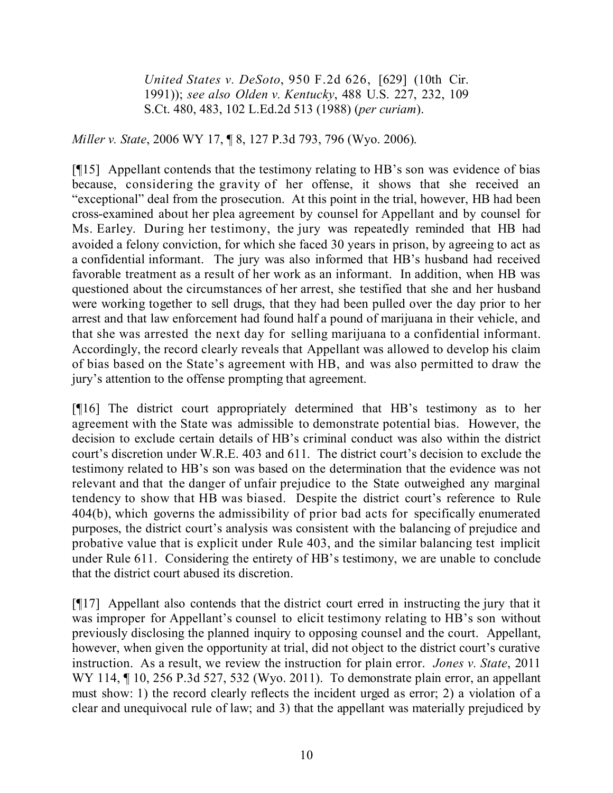*United States v. DeSoto*, 950 F.2d 626, [629] (10th Cir. 1991)); *see also Olden v. Kentucky*, 488 U.S. 227, 232, 109 S.Ct. 480, 483, 102 L.Ed.2d 513 (1988) (*per curiam*).

*Miller v. State*, 2006 WY 17, ¶ 8, 127 P.3d 793, 796 (Wyo. 2006).

[¶15] Appellant contends that the testimony relating to HB's son was evidence of bias because, considering the gravity of her offense, it shows that she received an "exceptional" deal from the prosecution. At this point in the trial, however, HB had been cross-examined about her plea agreement by counsel for Appellant and by counsel for Ms. Earley. During her testimony, the jury was repeatedly reminded that HB had avoided a felony conviction, for which she faced 30 years in prison, by agreeing to act as a confidential informant. The jury was also informed that HB's husband had received favorable treatment as a result of her work as an informant. In addition, when HB was questioned about the circumstances of her arrest, she testified that she and her husband were working together to sell drugs, that they had been pulled over the day prior to her arrest and that law enforcement had found half a pound of marijuana in their vehicle, and that she was arrested the next day for selling marijuana to a confidential informant. Accordingly, the record clearly reveals that Appellant was allowed to develop his claim of bias based on the State's agreement with HB, and was also permitted to draw the jury's attention to the offense prompting that agreement.

[¶16] The district court appropriately determined that HB's testimony as to her agreement with the State was admissible to demonstrate potential bias. However, the decision to exclude certain details of HB's criminal conduct was also within the district court's discretion under W.R.E. 403 and 611. The district court's decision to exclude the testimony related to HB's son was based on the determination that the evidence was not relevant and that the danger of unfair prejudice to the State outweighed any marginal tendency to show that HB was biased. Despite the district court's reference to Rule 404(b), which governs the admissibility of prior bad acts for specifically enumerated purposes, the district court's analysis was consistent with the balancing of prejudice and probative value that is explicit under Rule 403, and the similar balancing test implicit under Rule 611. Considering the entirety of HB's testimony, we are unable to conclude that the district court abused its discretion.

[¶17] Appellant also contends that the district court erred in instructing the jury that it was improper for Appellant's counsel to elicit testimony relating to HB's son without previously disclosing the planned inquiry to opposing counsel and the court. Appellant, however, when given the opportunity at trial, did not object to the district court's curative instruction. As a result, we review the instruction for plain error. *Jones v. State*, 2011 WY 114, ¶ 10, 256 P.3d 527, 532 (Wyo. 2011). To demonstrate plain error, an appellant must show: 1) the record clearly reflects the incident urged as error; 2) a violation of a clear and unequivocal rule of law; and 3) that the appellant was materially prejudiced by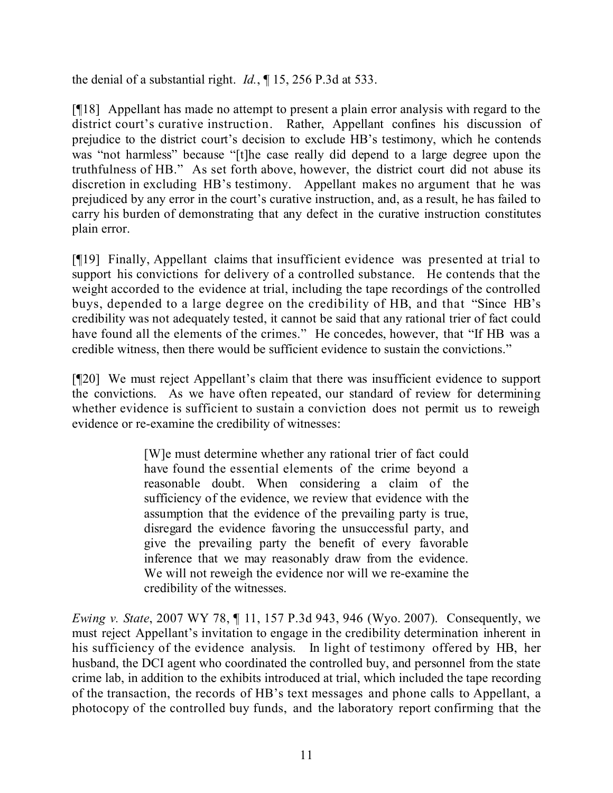the denial of a substantial right. *Id.*, ¶ 15, 256 P.3d at 533.

[¶18] Appellant has made no attempt to present a plain error analysis with regard to the district court's curative instruction. Rather, Appellant confines his discussion of prejudice to the district court's decision to exclude HB's testimony, which he contends was "not harmless" because "[t]he case really did depend to a large degree upon the truthfulness of HB." As set forth above, however, the district court did not abuse its discretion in excluding HB's testimony. Appellant makes no argument that he was prejudiced by any error in the court's curative instruction, and, as a result, he has failed to carry his burden of demonstrating that any defect in the curative instruction constitutes plain error.

[¶19] Finally, Appellant claims that insufficient evidence was presented at trial to support his convictions for delivery of a controlled substance. He contends that the weight accorded to the evidence at trial, including the tape recordings of the controlled buys, depended to a large degree on the credibility of HB, and that "Since HB's credibility was not adequately tested, it cannot be said that any rational trier of fact could have found all the elements of the crimes." He concedes, however, that "If HB was a credible witness, then there would be sufficient evidence to sustain the convictions."

[¶20] We must reject Appellant's claim that there was insufficient evidence to support the convictions. As we have often repeated, our standard of review for determining whether evidence is sufficient to sustain a conviction does not permit us to reweigh evidence or re-examine the credibility of witnesses:

> [W]e must determine whether any rational trier of fact could have found the essential elements of the crime beyond a reasonable doubt. When considering a claim of the sufficiency of the evidence, we review that evidence with the assumption that the evidence of the prevailing party is true, disregard the evidence favoring the unsuccessful party, and give the prevailing party the benefit of every favorable inference that we may reasonably draw from the evidence. We will not reweigh the evidence nor will we re-examine the credibility of the witnesses.

*Ewing v. State*, 2007 WY 78, ¶ 11, 157 P.3d 943, 946 (Wyo. 2007). Consequently, we must reject Appellant's invitation to engage in the credibility determination inherent in his sufficiency of the evidence analysis. In light of testimony offered by HB, her husband, the DCI agent who coordinated the controlled buy, and personnel from the state crime lab, in addition to the exhibits introduced at trial, which included the tape recording of the transaction, the records of HB's text messages and phone calls to Appellant, a photocopy of the controlled buy funds, and the laboratory report confirming that the